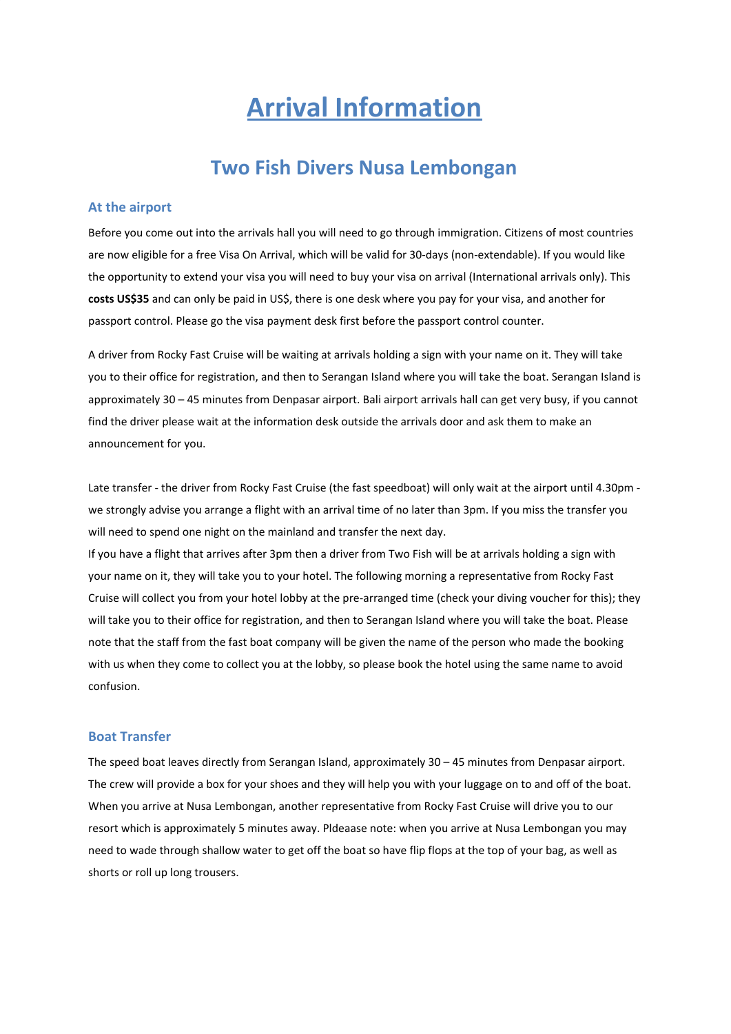# **Arrival Information**

## **Two Fish Divers Nusa Lembongan**

#### **At the airport**

Before you come out into the arrivals hall you will need to go through immigration. Citizens of most countries are now eligible for a free Visa On Arrival, which will be valid for 30-days (non-extendable). If you would like the opportunity to extend your visa you will need to buy your visa on arrival (International arrivals only). This **costs US\$35** and can only be paid in US\$, there is one desk where you pay for your visa, and another for passport control. Please go the visa payment desk first before the passport control counter.

A driver from Rocky Fast Cruise will be waiting at arrivals holding a sign with your name on it. They will take you to their office for registration, and then to Serangan Island where you will take the boat. Serangan Island is approximately 30 – 45 minutes from Denpasar airport. Bali airport arrivals hall can get very busy, if you cannot find the driver please wait at the information desk outside the arrivals door and ask them to make an announcement for you.

Late transfer - the driver from Rocky Fast Cruise (the fast speedboat) will only wait at the airport until 4.30pm we strongly advise you arrange a flight with an arrival time of no later than 3pm. If you miss the transfer you will need to spend one night on the mainland and transfer the next day.

If you have a flight that arrives after 3pm then a driver from Two Fish will be at arrivals holding a sign with your name on it, they will take you to your hotel. The following morning a representative from Rocky Fast Cruise will collect you from your hotel lobby at the pre-arranged time (check your diving voucher for this); they will take you to their office for registration, and then to Serangan Island where you will take the boat. Please note that the staff from the fast boat company will be given the name of the person who made the booking with us when they come to collect you at the lobby, so please book the hotel using the same name to avoid confusion.

#### **Boat Transfer**

The speed boat leaves directly from Serangan Island, approximately 30 – 45 minutes from Denpasar airport. The crew will provide a box for your shoes and they will help you with your luggage on to and off of the boat. When you arrive at Nusa Lembongan, another representative from Rocky Fast Cruise will drive you to our resort which is approximately 5 minutes away. Pldeaase note: when you arrive at Nusa Lembongan you may need to wade through shallow water to get off the boat so have flip flops at the top of your bag, as well as shorts or roll up long trousers.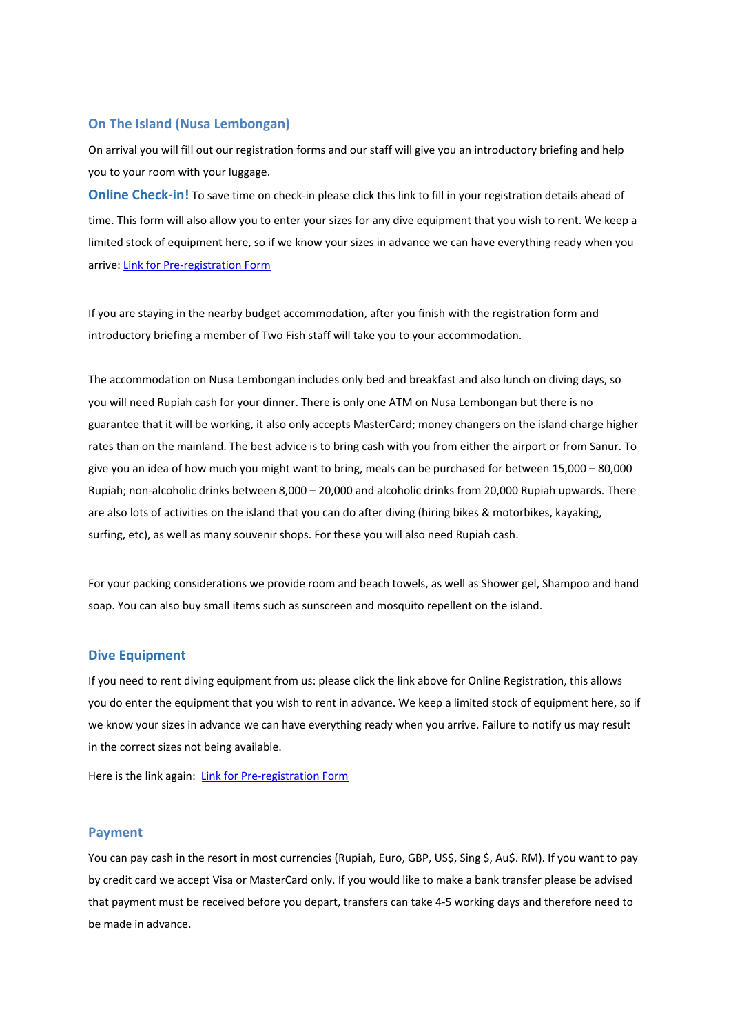#### **On The Island (Nusa Lembongan)**

On arrival you will fill out our registration forms and our staff will give you an introductory briefing and help you to your room with your luggage.

**Online Check-in!** To save time on check-in please click this link to fill in your registration details ahead of time. This form will also allow you to enter your sizes for any dive equipment that you wish to rent. We keep a limited stock of equipment here, so if we know your sizes in advance we can have everything ready when you arrive: Link for [Pre-registration](https://geekdivers-web-eu.appspot.com/#/registration/lkB0Px3X2IU6iGWElVoN09vCcdH2) Form

If you are staying in the nearby budget accommodation, after you finish with the registration form and introductory briefing a member of Two Fish staff will take you to your accommodation.

The accommodation on Nusa Lembongan includes only bed and breakfast and also lunch on diving days, so you will need Rupiah cash for your dinner. There is only one ATM on Nusa Lembongan but there is no guarantee that it will be working, it also only accepts MasterCard; money changers on the island charge higher rates than on the mainland. The best advice is to bring cash with you from either the airport or from Sanur. To give you an idea of how much you might want to bring, meals can be purchased for between 15,000 – 80,000 Rupiah; non-alcoholic drinks between 8,000 – 20,000 and alcoholic drinks from 20,000 Rupiah upwards. There are also lots of activities on the island that you can do after diving (hiring bikes & motorbikes, kayaking, surfing, etc), as well as many souvenir shops. For these you will also need Rupiah cash.

For your packing considerations we provide room and beach towels, as well as Shower gel, Shampoo and hand soap. You can also buy small items such as sunscreen and mosquito repellent on the island.

#### **Dive Equipment**

If you need to rent diving equipment from us: please click the link above for Online Registration, this allows you do enter the equipment that you wish to rent in advance. We keep a limited stock of equipment here, so if we know your sizes in advance we can have everything ready when you arrive. Failure to notify us may result in the correct sizes not being available.

Here is the link again: Link for [Pre-registration](https://geekdivers-web-eu.appspot.com/#/registration/lkB0Px3X2IU6iGWElVoN09vCcdH2) Form

#### **Payment**

You can pay cash in the resort in most currencies (Rupiah, Euro, GBP, US\$, Sing \$, Au\$. RM). If you want to pay by credit card we accept Visa or MasterCard only. If you would like to make a bank transfer please be advised that payment must be received before you depart, transfers can take 4-5 working days and therefore need to be made in advance.